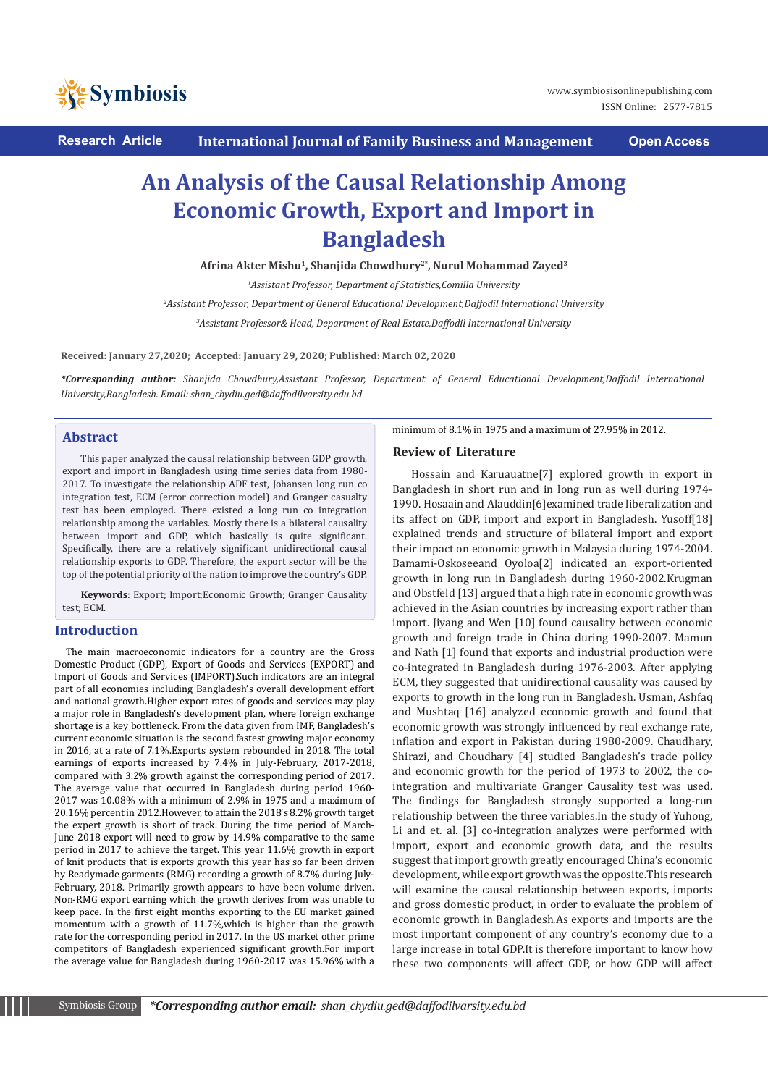

**Research Article International Journal of Family Business and Management Open Access**

# **An Analysis of the Causal Relationship Among Economic Growth, Export and Import in Bangladesh**

**Afrina Akter Mishu1, Shanjida Chowdhury2\*, Nurul Mohammad Zayed3** 

*1 Assistant Professor, Department of Statistics,Comilla University*

*2 Assistant Professor, Department of General Educational Development,Daffodil International University*

*3 Assistant Professor& Head, Department of Real Estate,Daffodil International University*

**Received: January 27,2020; Accepted: January 29, 2020; Published: March 02, 2020**

*\*Corresponding author: Shanjida Chowdhury,Assistant Professor, Department of General Educational Development,Daffodil International University,Bangladesh. Email: shan\_chydiu.ged@daffodilvarsity.edu.bd*

#### **Abstract**

This paper analyzed the causal relationship between GDP growth, export and import in Bangladesh using time series data from 1980- 2017. To investigate the relationship ADF test, Johansen long run co integration test, ECM (error correction model) and Granger casualty test has been employed. There existed a long run co integration relationship among the variables. Mostly there is a bilateral causality between import and GDP, which basically is quite significant. Specifically, there are a relatively significant unidirectional causal relationship exports to GDP. Therefore, the export sector will be the top of the potential priority of the nation to improve the country's GDP.

**Keywords**: Export; Import;Economic Growth; Granger Causality test; ECM.

#### **Introduction**

 The main macroeconomic indicators for a country are the Gross Domestic Product (GDP), Export of Goods and Services (EXPORT) and Import of Goods and Services (IMPORT).Such indicators are an integral part of all economies including Bangladesh's overall development effort and national growth.Higher export rates of goods and services may play a major role in Bangladesh's development plan, where foreign exchange shortage is a key bottleneck. From the data given from IMF, Bangladesh's current economic situation is the second fastest growing major economy in 2016, at a rate of 7.1%.Exports system rebounded in 2018. The total earnings of exports increased by 7.4% in July-February, 2017-2018, compared with 3.2% growth against the corresponding period of 2017. The average value that occurred in Bangladesh during period 1960- 2017 was 10.08% with a minimum of 2.9% in 1975 and a maximum of 20.16% percent in 2012.However, to attain the 2018's 8.2% growth target the expert growth is short of track. During the time period of March-June 2018 export will need to grow by 14.9% comparative to the same period in 2017 to achieve the target. This year 11.6% growth in export of knit products that is exports growth this year has so far been driven by Readymade garments (RMG) recording a growth of 8.7% during July-February, 2018. Primarily growth appears to have been volume driven. Non-RMG export earning which the growth derives from was unable to keep pace. In the first eight months exporting to the EU market gained momentum with a growth of 11.7%,which is higher than the growth rate for the corresponding period in 2017. In the US market other prime competitors of Bangladesh experienced significant growth.For import the average value for Bangladesh during 1960-2017 was 15.96% with a minimum of 8.1% in 1975 and a maximum of 27.95% in 2012.

### **Review of Literature**

Hossain and Karuauatne[7] explored growth in export in Bangladesh in short run and in long run as well during 1974- 1990. Hosaain and Alauddin[6]examined trade liberalization and its affect on GDP, import and export in Bangladesh. Yusoff[18] explained trends and structure of bilateral import and export their impact on economic growth in Malaysia during 1974-2004. Bamami-Oskoseeand Oyoloa[2] indicated an export-oriented growth in long run in Bangladesh during 1960-2002.Krugman and Obstfeld [13] argued that a high rate in economic growth was achieved in the Asian countries by increasing export rather than import. Jiyang and Wen [10] found causality between economic growth and foreign trade in China during 1990-2007. Mamun and Nath [1] found that exports and industrial production were co-integrated in Bangladesh during 1976-2003. After applying ECM, they suggested that unidirectional causality was caused by exports to growth in the long run in Bangladesh. Usman, Ashfaq and Mushtaq [16] analyzed economic growth and found that economic growth was strongly influenced by real exchange rate, inflation and export in Pakistan during 1980-2009. Chaudhary, Shirazi, and Choudhary [4] studied Bangladesh's trade policy and economic growth for the period of 1973 to 2002, the cointegration and multivariate Granger Causality test was used. The findings for Bangladesh strongly supported a long-run relationship between the three variables.In the study of Yuhong, Li and et. al. [3] co-integration analyzes were performed with import, export and economic growth data, and the results suggest that import growth greatly encouraged China's economic development, while export growth was the opposite.This research will examine the causal relationship between exports, imports and gross domestic product, in order to evaluate the problem of economic growth in Bangladesh.As exports and imports are the most important component of any country's economy due to a large increase in total GDP.It is therefore important to know how these two components will affect GDP, or how GDP will affect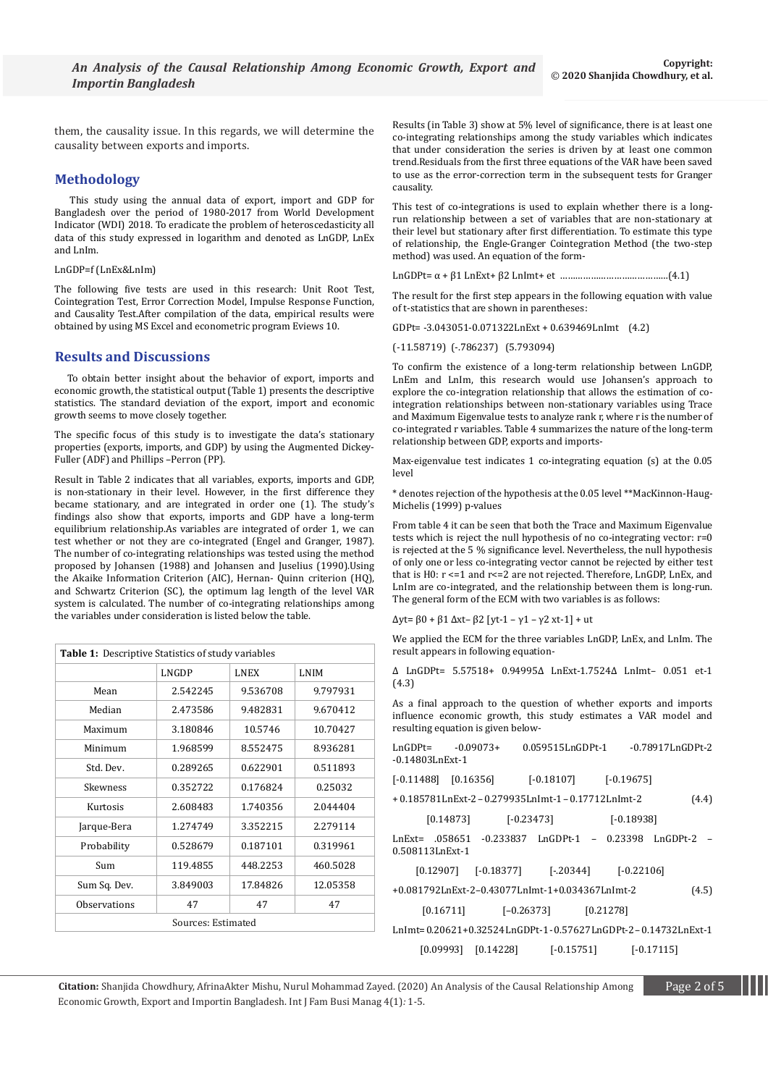them, the causality issue. In this regards, we will determine the causality between exports and imports.

# **Methodology**

 This study using the annual data of export, import and GDP for Bangladesh over the period of 1980-2017 from World Development Indicator (WDI) 2018. To eradicate the problem of heteroscedasticity all data of this study expressed in logarithm and denoted as LnGDP, LnEx and LnIm.

#### LnGDP=f (LnEx&LnIm)

The following five tests are used in this research: Unit Root Test, Cointegration Test, Error Correction Model, Impulse Response Function, and Causality Test.After compilation of the data, empirical results were obtained by using MS Excel and econometric program Eviews 10.

#### **Results and Discussions**

 To obtain better insight about the behavior of export, imports and economic growth, the statistical output (Table 1) presents the descriptive statistics. The standard deviation of the export, import and economic growth seems to move closely together.

The specific focus of this study is to investigate the data's stationary properties (exports, imports, and GDP) by using the Augmented Dickey-Fuller (ADF) and Phillips –Perron (PP).

Result in Table 2 indicates that all variables, exports, imports and GDP, is non-stationary in their level. However, in the first difference they became stationary, and are integrated in order one (1). The study's findings also show that exports, imports and GDP have a long-term equilibrium relationship.As variables are integrated of order 1, we can test whether or not they are co-integrated (Engel and Granger, 1987). The number of co-integrating relationships was tested using the method proposed by Johansen (1988) and Johansen and Juselius (1990).Using the Akaike Information Criterion (AIC), Hernan- Quinn criterion (HQ), and Schwartz Criterion (SC), the optimum lag length of the level VAR system is calculated. The number of co-integrating relationships among the variables under consideration is listed below the table.

| Table 1: Descriptive Statistics of study variables |                      |          |             |  |  |  |
|----------------------------------------------------|----------------------|----------|-------------|--|--|--|
|                                                    | LNGDP<br><b>LNEX</b> |          | <b>LNIM</b> |  |  |  |
| Mean                                               | 2.542245             | 9.536708 | 9.797931    |  |  |  |
| Median                                             | 2.473586             | 9.482831 | 9.670412    |  |  |  |
| Maximum                                            | 3.180846             | 10.5746  | 10.70427    |  |  |  |
| Minimum                                            | 1.968599             | 8.552475 | 8.936281    |  |  |  |
| Std. Dev.                                          | 0.289265             | 0.622901 | 0.511893    |  |  |  |
| Skewness                                           | 0.352722             | 0.176824 | 0.25032     |  |  |  |
| Kurtosis                                           | 2.608483             | 1.740356 | 2.044404    |  |  |  |
| Jarque-Bera                                        | 1.274749             | 3.352215 | 2.279114    |  |  |  |
| Probability                                        | 0.528679             | 0.187101 | 0.319961    |  |  |  |
| Sum                                                | 119.4855             | 448.2253 | 460.5028    |  |  |  |
| Sum Sq. Dev.                                       | 3.849003             | 17.84826 | 12.05358    |  |  |  |
| Observations                                       | 47                   | 47       | 47          |  |  |  |
| Sources: Estimated                                 |                      |          |             |  |  |  |

Results (in Table 3) show at 5% level of significance, there is at least one co-integrating relationships among the study variables which indicates that under consideration the series is driven by at least one common trend.Residuals from the first three equations of the VAR have been saved to use as the error-correction term in the subsequent tests for Granger causality.

This test of co-integrations is used to explain whether there is a longrun relationship between a set of variables that are non-stationary at their level but stationary after first differentiation. To estimate this type of relationship, the Engle-Granger Cointegration Method (the two-step method) was used. An equation of the form-

LnGDPt= α + β1 LnExt+ β2 LnImt+ et ……………………………………(4.1)

The result for the first step appears in the following equation with value of t-statistics that are shown in parentheses:

GDPt= -3.043051-0.071322LnExt + 0.639469LnImt (4.2)

(-11.58719) (-.786237) (5.793094)

To confirm the existence of a long-term relationship between LnGDP, LnEm and LnIm, this research would use Johansen's approach to explore the co-integration relationship that allows the estimation of cointegration relationships between non-stationary variables using Trace and Maximum Eigenvalue tests to analyze rank r, where r is the number of co-integrated r variables. Table 4 summarizes the nature of the long-term relationship between GDP, exports and imports-

Max-eigenvalue test indicates 1 co-integrating equation (s) at the 0.05 level

\* denotes rejection of the hypothesis at the 0.05 level \*\*MacKinnon-Haug-Michelis (1999) p-values

From table 4 it can be seen that both the Trace and Maximum Eigenvalue tests which is reject the null hypothesis of no co-integrating vector: r=0 is rejected at the 5 % significance level. Nevertheless, the null hypothesis of only one or less co-integrating vector cannot be rejected by either test that is H0: r <=1 and r<=2 are not rejected. Therefore, LnGDP, LnEx, and LnIm are co-integrated, and the relationship between them is long-run. The general form of the ECM with two variables is as follows:

Δyt= β0 + β1 Δxt– β2 [yt-1 – γ1 – γ2 xt-1] + ut

We applied the ECM for the three variables LnGDP, LnEx, and LnIm. The result appears in following equation-

∆ LnGDPt= 5.57518+ 0.94995∆ LnExt-1.7524∆ LnImt– 0.051 et-1 (4.3)

As a final approach to the question of whether exports and imports influence economic growth, this study estimates a VAR model and resulting equation is given below-

| -0.14803LnExt-1 | LnGDPt= -0.09073+ |                                                              |              |       |  |
|-----------------|-------------------|--------------------------------------------------------------|--------------|-------|--|
|                 |                   | $[-0.11488]$ $[0.16356]$ $[-0.18107]$ $[-0.19675]$           |              |       |  |
|                 |                   | +0.185781LnExt-2-0.279935LnImt-1-0.17712LnImt-2              |              | (4.4) |  |
|                 |                   | $[0.14873]$ $[-0.23473]$                                     | $[-0.18938]$ |       |  |
| 0.508113LnExt-1 |                   |                                                              |              |       |  |
|                 |                   | $[0.12907]$ $[-0.18377]$ $[-20344]$ $[-0.22106]$             |              |       |  |
|                 |                   | +0.081792LnExt-2-0.43077LnImt-1+0.034367LnImt-2              |              | (4.5) |  |
|                 |                   | $[0.16711]$ $[-0.26373]$ $[0.21278]$                         |              |       |  |
|                 |                   | LnImt=0.20621+0.32524LnGDPt-1-0.57627LnGDPt-2-0.14732LnExt-1 |              |       |  |
|                 |                   | $[0.09993]$ $[0.14228]$ $[-0.15751]$ $[-0.17115]$            |              |       |  |

**Citation:** Shanjida Chowdhury, AfrinaAkter Mishu, Nurul Mohammad Zayed. (2020) An Analysis of the Causal Relationship Among **Page 2 of 5** Economic Growth, Export and Importin Bangladesh. Int J Fam Busi Manag 4(1)*:* 1*-*5.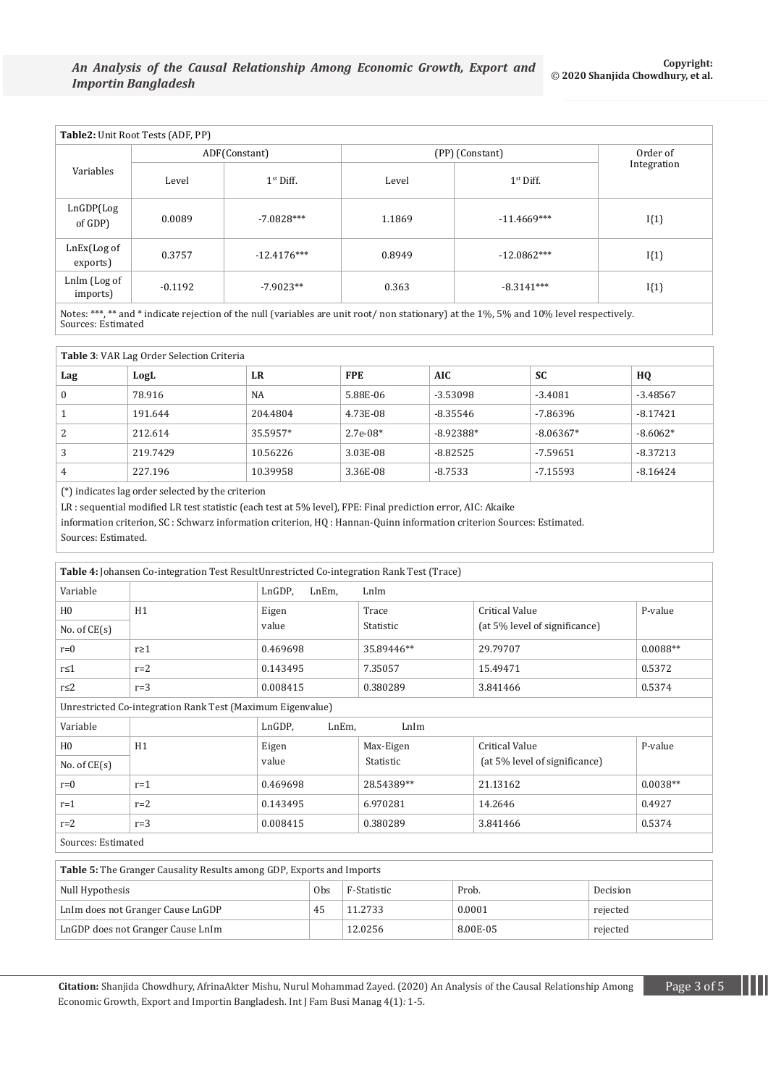| Table2: Unit Root Tests (ADF, PP) |               |                       |                 |               |             |  |  |
|-----------------------------------|---------------|-----------------------|-----------------|---------------|-------------|--|--|
|                                   | ADF(Constant) |                       | (PP) (Constant) | Order of      |             |  |  |
| Variables                         | Level         | 1 <sup>st</sup> Diff. | Level           | $1st$ Diff.   | Integration |  |  |
| LnGDP(Log<br>of GDP)              | 0.0089        | $-7.0828***$          | 1.1869          | $-11.4669***$ | $I{1}$      |  |  |
| LnEx(Log of<br>exports)           | 0.3757        | $-12.4176***$         | 0.8949          | $-12.0862***$ | $I{1}$      |  |  |
| LnIm (Log of<br>imports)          | $-0.1192$     | $-7.9023**$           | 0.363           | $-8.3141***$  | $I{1}$      |  |  |

Notes: \*\*\*, \*\* and \* indicate rejection of the null (variables are unit root/ non stationary) at the 1%, 5% and 10% level respectively. Sources: Estimated

## **Table 3**: VAR Lag Order Selection Criteria

| Lag      | LogL     | LR       | <b>FPE</b> | <b>AIC</b>  | <b>SC</b>   | HQ         |
|----------|----------|----------|------------|-------------|-------------|------------|
| $\bf{0}$ | 78.916   | NA       | 5.88E-06   | $-3.53098$  | $-3.4081$   | $-3.48567$ |
|          | 191.644  | 204.4804 | 4.73E-08   | $-8.35546$  | -7.86396    | $-8.17421$ |
| 2        | 212.614  | 35.5957* | $2.7e-08*$ | $-8.92388*$ | $-8.06367*$ | $-8.6062*$ |
| 3        | 219.7429 | 10.56226 | 3.03E-08   | $-8.82525$  | -7.59651    | $-8.37213$ |
| 4        | 227.196  | 10.39958 | 3.36E-08   | $-8.7533$   | -7.15593    | $-8.16424$ |

(\*) indicates lag order selected by the criterion

LR : sequential modified LR test statistic (each test at 5% level), FPE: Final prediction error, AIC: Akaike

information criterion, SC : Schwarz information criterion, HQ : Hannan-Quinn information criterion Sources: Estimated. Sources: Estimated.

| Table 4: Johansen Co-integration Test ResultUnrestricted Co-integration Rank Test (Trace) |            |                         |            |                               |            |  |  |
|-------------------------------------------------------------------------------------------|------------|-------------------------|------------|-------------------------------|------------|--|--|
| Variable                                                                                  |            | LnGDP,<br>LnEm,<br>LnIm |            |                               |            |  |  |
| H <sub>0</sub>                                                                            | H1         | Eigen                   | Trace      | <b>Critical Value</b>         | P-value    |  |  |
| No. of $CE(s)$                                                                            |            | value                   | Statistic  | (at 5% level of significance) |            |  |  |
| $r=0$                                                                                     | $r \geq 1$ | 0.469698                | 35.89446** | 29.79707                      | $0.0088**$ |  |  |
| $r \leq 1$                                                                                | $r=2$      | 0.143495                | 7.35057    | 15.49471                      | 0.5372     |  |  |
| $r \leq 2$                                                                                | $r=3$      | 0.008415                | 0.380289   | 3.841466                      | 0.5374     |  |  |
| Unrestricted Co-integration Rank Test (Maximum Eigenvalue)                                |            |                         |            |                               |            |  |  |
| Variable                                                                                  |            | LnGDP,<br>LnEm,<br>LnIm |            |                               |            |  |  |
| H <sub>0</sub>                                                                            | H1         | Eigen                   | Max-Eigen  | <b>Critical Value</b>         | P-value    |  |  |
| No. of $CE(s)$                                                                            |            | value                   | Statistic  | (at 5% level of significance) |            |  |  |
| $r=0$                                                                                     | $r=1$      | 0.469698                | 28.54389** | 21.13162                      | $0.0038**$ |  |  |
| $r=1$                                                                                     | $r=2$      | 0.143495                | 6.970281   | 14.2646                       | 0.4927     |  |  |
| $r=2$                                                                                     | $r=3$      | 0.008415                | 0.380289   | 3.841466                      | 0.5374     |  |  |
| Sources: Estimated                                                                        |            |                         |            |                               |            |  |  |

| <b>Table 5:</b> The Granger Causality Results among GDP, Exports and Imports |    |         |        |          |  |  |
|------------------------------------------------------------------------------|----|---------|--------|----------|--|--|
| Obs<br>Prob.<br>Null Hypothesis<br>F-Statistic<br>Decision                   |    |         |        |          |  |  |
| LnIm does not Granger Cause LnGDP                                            | 45 | 11.2733 | 0.0001 | rejected |  |  |
| 8.00E-05<br>LnGDP does not Granger Cause LnIm<br>12.0256<br>rejected         |    |         |        |          |  |  |

**Citation:** Shanjida Chowdhury, AfrinaAkter Mishu, Nurul Mohammad Zayed. (2020) An Analysis of the Causal Relationship Among Page 3 of 5 Economic Growth, Export and Importin Bangladesh. Int J Fam Busi Manag 4(1)*:* 1*-*5.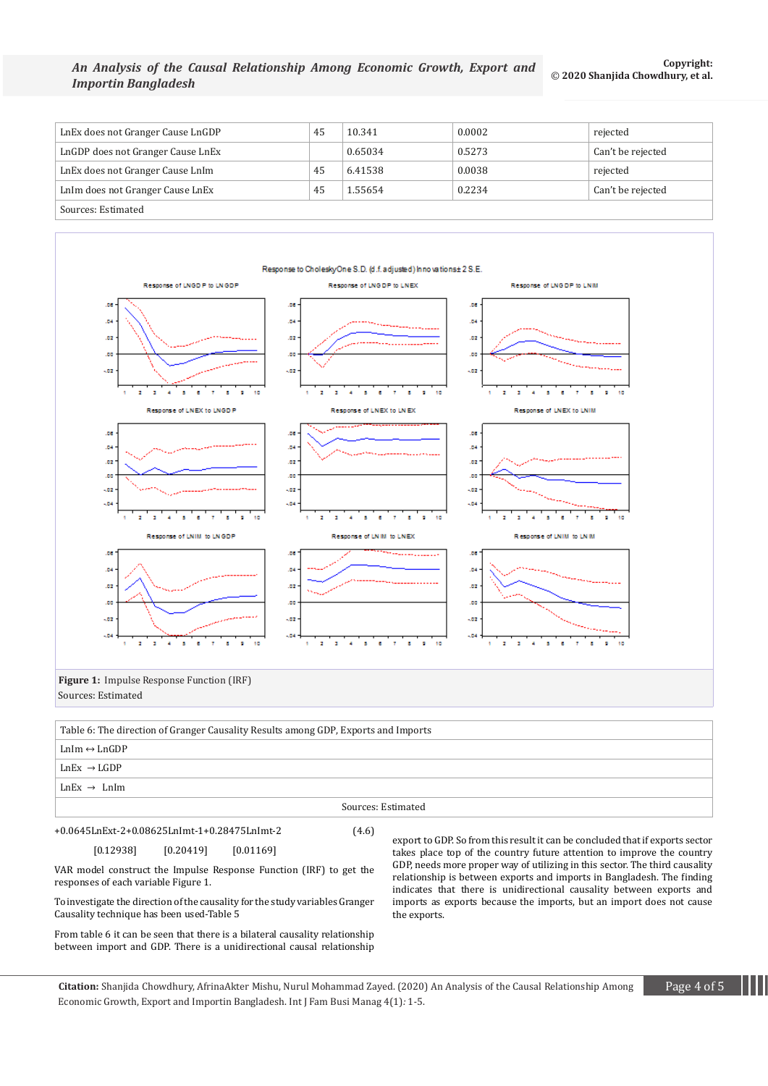#### *An Analysis of the Causal Relationship Among Economic Growth, Export and Importin Bangladesh* © **2020 Shanjida Chowdhury, et al.**

| LnEx does not Granger Cause LnGDP | 45 | 10.341  | 0.0002 | rejected          |  |  |
|-----------------------------------|----|---------|--------|-------------------|--|--|
| LnGDP does not Granger Cause LnEx |    | 0.65034 | 0.5273 | Can't be rejected |  |  |
| LnEx does not Granger Cause LnIm  | 45 | 6.41538 | 0.0038 | rejected          |  |  |
| LnIm does not Granger Cause LnEx  | 45 | 1.55654 | 0.2234 | Can't be rejected |  |  |
| Sources: Estimated                |    |         |        |                   |  |  |



 $LnEx$   $\rightarrow$   $LnIm$ 

#### Sources: Estimated

+0.0645LnExt-2+0.08625LnImt-1+0.28475LnImt-2 (4.6)

[0.12938] [0.20419] [0.01169]

VAR model construct the Impulse Response Function (IRF) to get the responses of each variable Figure 1.

To investigate the direction of the causality for the study variables Granger Causality technique has been used-Table 5

From table 6 it can be seen that there is a bilateral causality relationship between import and GDP. There is a unidirectional causal relationship export to GDP. So from this result it can be concluded that if exports sector takes place top of the country future attention to improve the country GDP, needs more proper way of utilizing in this sector. The third causality relationship is between exports and imports in Bangladesh. The finding indicates that there is unidirectional causality between exports and imports as exports because the imports, but an import does not cause the exports.

**Citation:** Shanjida Chowdhury, AfrinaAkter Mishu, Nurul Mohammad Zayed. (2020) An Analysis of the Causal Relationship Among Page 4 of 5 Economic Growth, Export and Importin Bangladesh. Int J Fam Busi Manag 4(1)*:* 1*-*5.

**Copyright:**